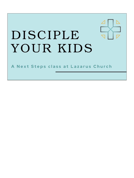## DISCIPLE YOUR KIDS

A Next Steps class at Lazarus Church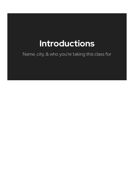### **Introductions**

Name, city, & who you're taking this class for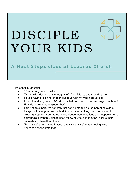## DISCIPLE YOUR KIDS

#### A Next Steps class at Lazarus Church

Personal introduction:

- 10 years of youth ministry
- Talking with kids about the tough stuff: from faith to dating and sex to
- I loved having this kind of open dialogue with my youth group kids
- I want that dialogue with MY kids... what do I need to do now to get that later? How do we reverse engineer that?
- I am not an expert. I'm honestly just getting started on the parenting side of things. But having worked with MS/HS kids for so long, I am committed to creating a space in our home where deeper conversations are happening on a daily basis. I want my kids to keep following Jesus long after I buckle their carseats and take them there.
- Tonight we're going to talk about one strategy we've been using in our household to facilitate that.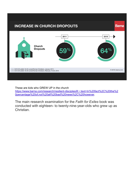

These are kids who GREW UP in the church [https://www.barna.com/research/resilient-disciples/#:~:text=In%20fact%2C%20the%2](https://www.barna.com/research/resilient-disciples/#:~:text=In%20fact%2C%20the%20percentage%20of,not%20all%20bad%20news%2C%20however) [0percentage%20of,not%20all%20bad%20news%2C%20however.](https://www.barna.com/research/resilient-disciples/#:~:text=In%20fact%2C%20the%20percentage%20of,not%20all%20bad%20news%2C%20however)

The main research examination for the *Faith for Exiles* book was conducted with eighteen- to twenty-nine-year-olds who grew up as Christian.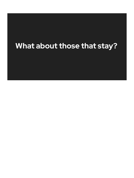#### **What about those that stay?**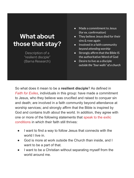#### **What about those that stay?**

Description of a "resilient disciple" (Barna Research)

- Made a commitment to Jesus (for ex. confirmation)
- They believe Jesus died for their sins & rose again
- $\bullet$  Involved in a faith community *beyond attending worship*
- Strongly affirm that the Bible IS the authoritative Word of God
- Desire to live as a disciple *outside the "four walls" of a church*

So what does it mean to be a **resilient disciple**? As defined in *[Faith for Exiles](https://faithforexiles.com/)*, individuals in this group: have made a commitment to Jesus, who they believe was crucified and raised to conquer sin and death; are involved in a faith community beyond attendance at worship services; and strongly affirm that the Bible is inspired by God and contains truth about the world. In addition, they agree with one or more of the following statements that [speak to the exilic](https://www.barna.com/why-do-young-people-stay-christian/) [conditions](https://www.barna.com/why-do-young-people-stay-christian/) in which their faith still thrives:

- I want to find a way to follow Jesus that connects with the world I live in.
- God is more at work outside the Church than inside, and I want to be a part of that.
- I want to be a Christian without separating myself from the world around me.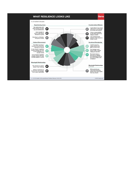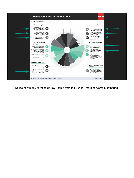

Notice how many of these do NOT come from the Sunday morning worship gathering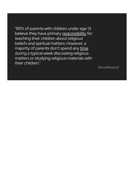"85% of parents with children under age 13 believe they have primary responsibility for teaching their children about religious beliefs and spiritual matters. However, a majority of parents don't spend any time during a typical week discussing religious matters or studying religious materials with their children."

Barna Research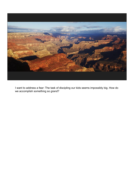

I want to address a fear: The task of discipling our kids seems impossibly big. How do we accomplish something so grand?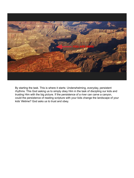

By starting the task. This is where it starts: Underwhelming, everyday, persistent rhythms. This God asking us to simply obey Him in the task of discipling our kids and trusting Him with the big picture. If the persistence of a river can carve a canyon, could the persistence of reading scripture with your kids change the landscape of your kids' lifetime? God asks us to trust and obey.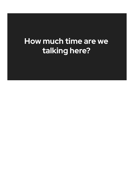#### **How much time are we talking here?**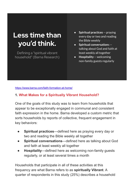#### **Less time than you'd think.**

Defining a "spiritual vibrant household" (Barna Research)

- **Spiritual practices** -- praying every day or two and reading the Bible weekly
- **Spiritual conversation**s talking about God and faith at least weekly all together
- **Hospitality** -- welcoming non-family guests regularly

<https://www.barna.com/faith-formation-at-home/>

#### **1. [What Makes for a Spiritually Vibrant Household?](https://www.barna.com/research/spiritually-vibrant-household/)**

One of the goals of this study was to learn from households that appear to be exceptionally engaged in communal and consistent faith expression in the home. Barna developed a custom metric that sorts households by reports of collective, frequent engagement in key behaviors:

- **Spiritual practices—defined here as praying every day or** two and reading the Bible weekly all together
- **Spiritual conversations**—defined here as talking about God and faith at least weekly all together
- **Hospitality**—defined here as welcoming non-family guests regularly, or at least several times a month

Households that participate in all of these activities at this frequency are what Barna refers to as **spiritually Vibrant**. A quarter of respondents in this study (25%) describes a household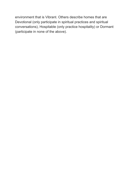environment that is Vibrant. Others describe homes that are Devotional (only participate in spiritual practices and spiritual conversations), Hospitable (only practice hospitality) or Dormant (participate in none of the above).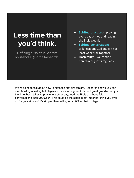#### **Less time than you'd think.**

Defining a "spiritual vibrant household" (Barna Research)

- **Spiritual practices** -- praying every day or two and reading the Bible weekly
- **Spiritual conversations** talking about God and faith at least weekly all together
- **Hospitality** -- welcoming non-family guests regularly

We're going to talk about how to hit these first two tonight. Research shows you can start building a lasting faith legacy for your kids, grandkids, and great grandkids in just the time that it takes to pray every other day, read the Bible and have faith conversations *once per week*. This could be the single most important thing you ever do for your kids and it's simpler than setting up a 529 for their college.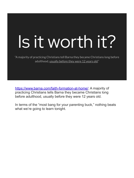# Is it worth it?

"A majority of practicing Christians tell Barna they became Christians long before adulthood, usually before they were 12 years old."

<https://www.barna.com/faith-formation-at-home/>: A majority of practicing Christians tells Barna they became Christians long before adulthood, usually before they were 12 years old.

In terms of the "most bang for your parenting buck," nothing beats what we're going to learn tonight.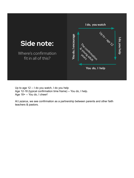

Up to age 12 -- I do you watch, I do you help Age 12-18 (typical confirmation time frame) -- You do, I help. Age 18+ -- You do, I cheer!

At Lazarus, we see confirmation as a partnership between parents and other faith teachers & pastors.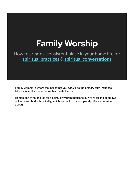### **Family Worship**

How to create a consistent place in your home life for **spiritual practices** & **spiritual conversations**

Family worship is where that belief that you *should* be the primary faith influence takes shape. It's where the rubber meets the road.

Remember: What makes for a spiritually vibrant household? We're talking about two of the three (third is hospitality, which we could do a completely different session about).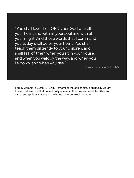"You shall love the LORD your God with all your heart and with all your soul and with all your might. And these words that I command you today shall be on your heart. You shall teach them diligently to your children, and shall talk of them when you sit in your house, and when you walk by the way, and when you lie down, and when you rise."

Deuteronomy 6:5-7 (ESV)

Family worship is CONSISTENT. Remember the earlier stat, a spiritually vibrant household was one that prayed daily or every other day and read the Bible and discussed spiritual matters in the home once per week or more.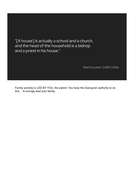"[A house] is actually a school and a church, and the head of the household is a bishop and a priest in his house."

Martin Luther (1483-1546)

Family worship is LED BY YOU, the parent. You have the God-given authority to do this… to lovingly lead your family.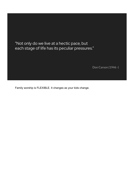"Not only do we live at a hectic pace, but each stage of life has its peculiar pressures."

Don Carson (1946 -)

Family worship is FLEXIBLE. It changes as your kids change.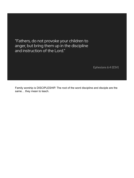"Fathers, do not provoke your children to anger, but bring them up in the discipline and instruction of the Lord."

Ephesians 6:4 (ESV)

Family worship is DISCIPLESHIP. The root of the word discipline and disciple are the same… they mean to teach.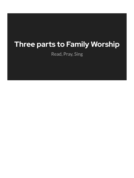#### **Three parts to Family Worship**

Read, Pray, Sing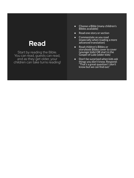#### **Read**

Start by reading the Bible. You can read, quests can read, and as they get older, your children can take turns reading!

- Choose a Bible (many children's Bibles available)
- Read one story or section
- Commentate as you read (especially when reading a more advanced translation)
- Read children's Bibles or storybook Bibles cover to cover (younger kids) OR start in the<br>Gospel of Luke (older kids)
- Don't be surprised when kids ask things you don't know. Respond: "That's a great question! I don't know but we can find out."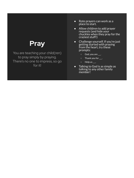#### **Pray**

You are teaching your child(ren) to pray simply by praying. There's no one to impress, so go for it!

- Rote prayers can work as a place to start.
- Allow children to add prayer requests (and hide your chuckles when they pray for the craziest stuff!)
- Challenge yourself. If you're just getting started with praying  $\overline{\phantom{a}}$ from the heart, try these prompts:
	- God, you are \_\_\_.
	- Thank you for \_\_\_.
	- $\circ$  Help us  $\_\_$ .
- Talking to God is as simple as talking to any other family member!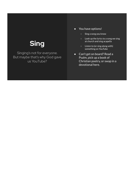#### **Sing**

Singing's not for everyone. But maybe that's why God gave us YouTube?

- You have options!
	- Sing a song you know
	- Look up the lyrics to a song we sing at church and sing acapella
	- Listen to (or sing along with) something on YouTube
- Can't get on board? Read a Psalm, pick up a book of Christian poetry, or swap in a devotional here.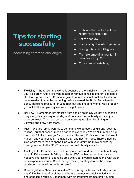#### **Tips for starting successfully**

Addressing common challenges

- Embrace the flexibility of the read/pray/sing outline
- Set the bar low
- $\bullet$  It's not a big deal when you miss
- Treat goofing off with grace
- Tie it to something your family *already does together*
- Consistency beats length

- Flexibility -- the reason this works is because of the simplicity -- it can grow as your kids grow. And if you want to add or remove things in different seasons of life, that's great! For ex. Someone gave Flint a devotional book for Easter so we're reading that at the beginning before we read the Bible. And when it's done, there's no pressure for us to rush out and find a new one. We'll probably go back to the simple way we were doing it before.
- Bar Low -- Remember that statistic from earlier, spiritually vibrant households pray every day or every other day and do some form of family worship just once per week! Think you can do it on weeknights? Start by aiming for 3x/week and grow from there.
- Miss -- We tied family worship to something we do every single day (bedtime routine), but that doesn't mean it happens every day. We do NOT make a big deal out of it. If you say you're gonna start this next Friday and then it doesn't happen and you feel guilt... that is Satan and not from God. There is nothing God wants more than to spend time with your family. So move on with joy looking forward to the NEXT time you get to do family worship!
- Goofing Off -- Sometimes we just scrap our plans and move on without family worship if the evening is falling to pieces. We'd rather do that than give a negative impression of spending time with God. If you're starting this with older kids, expect resistance. See it through their eyes (they'd rather be doing whatever it is they'd normally be doing).
- Does Together -- Saturday pancakes? Do this right afterwards! Friday movie night? Do this right after dinner and before the movie starts! We tied it to the end of bedtime routine. Experiment with different time frames until you find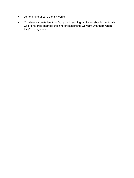- something that consistently works.
- Consistency beats length -- Our goal in starting family worship for our family was to reverse-engineer the kind of relationship we want with them when they're in high school.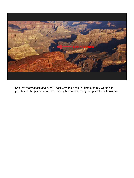

See that teeny speck of a river? That's creating a regular time of family worship in your home. Keep your focus here. Your job as a parent or grandparent is faithfulness.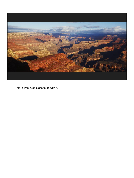

This is what God plans to do with it.